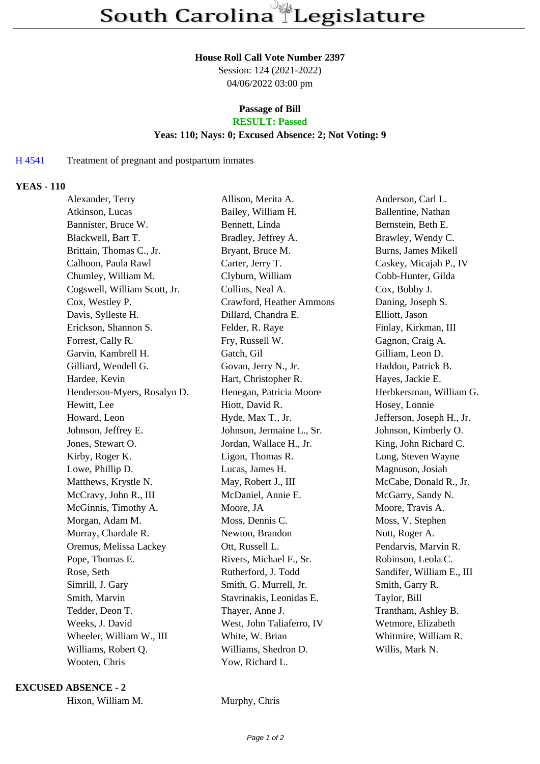#### **House Roll Call Vote Number 2397**

Session: 124 (2021-2022) 04/06/2022 03:00 pm

# **Passage of Bill**

## **RESULT: Passed**

### **Yeas: 110; Nays: 0; Excused Absence: 2; Not Voting: 9**

#### H 4541 Treatment of pregnant and postpartum inmates

#### **YEAS - 110**

| Alexander, Terry             | Allison, Merita A.        | Anderson, Carl L.         |
|------------------------------|---------------------------|---------------------------|
| Atkinson, Lucas              | Bailey, William H.        | Ballentine, Nathan        |
| Bannister, Bruce W.          | Bennett, Linda            | Bernstein, Beth E.        |
| Blackwell, Bart T.           | Bradley, Jeffrey A.       | Brawley, Wendy C.         |
| Brittain, Thomas C., Jr.     | Bryant, Bruce M.          | Burns, James Mikell       |
| Calhoon, Paula Rawl          | Carter, Jerry T.          | Caskey, Micajah P., IV    |
| Chumley, William M.          | Clyburn, William          | Cobb-Hunter, Gilda        |
| Cogswell, William Scott, Jr. | Collins, Neal A.          | Cox, Bobby J.             |
| Cox, Westley P.              | Crawford, Heather Ammons  | Daning, Joseph S.         |
| Davis, Sylleste H.           | Dillard, Chandra E.       | Elliott, Jason            |
| Erickson, Shannon S.         | Felder, R. Raye           | Finlay, Kirkman, III      |
| Forrest, Cally R.            | Fry, Russell W.           | Gagnon, Craig A.          |
| Garvin, Kambrell H.          | Gatch, Gil                | Gilliam, Leon D.          |
| Gilliard, Wendell G.         | Govan, Jerry N., Jr.      | Haddon, Patrick B.        |
| Hardee, Kevin                | Hart, Christopher R.      | Hayes, Jackie E.          |
| Henderson-Myers, Rosalyn D.  | Henegan, Patricia Moore   | Herbkersman, William G.   |
| Hewitt, Lee                  | Hiott, David R.           | Hosey, Lonnie             |
| Howard, Leon                 | Hyde, Max T., Jr.         | Jefferson, Joseph H., Jr. |
| Johnson, Jeffrey E.          | Johnson, Jermaine L., Sr. | Johnson, Kimberly O.      |
| Jones, Stewart O.            | Jordan, Wallace H., Jr.   | King, John Richard C.     |
| Kirby, Roger K.              | Ligon, Thomas R.          | Long, Steven Wayne        |
| Lowe, Phillip D.             | Lucas, James H.           | Magnuson, Josiah          |
| Matthews, Krystle N.         | May, Robert J., III       | McCabe, Donald R., Jr.    |
| McCravy, John R., III        | McDaniel, Annie E.        | McGarry, Sandy N.         |
| McGinnis, Timothy A.         | Moore, JA                 | Moore, Travis A.          |
| Morgan, Adam M.              | Moss, Dennis C.           | Moss, V. Stephen          |
| Murray, Chardale R.          | Newton, Brandon           | Nutt, Roger A.            |
| Oremus, Melissa Lackey       | Ott, Russell L.           | Pendarvis, Marvin R.      |
| Pope, Thomas E.              | Rivers, Michael F., Sr.   | Robinson, Leola C.        |
| Rose, Seth                   | Rutherford, J. Todd       | Sandifer, William E., III |
| Simrill, J. Gary             | Smith, G. Murrell, Jr.    | Smith, Garry R.           |
| Smith, Marvin                | Stavrinakis, Leonidas E.  | Taylor, Bill              |
| Tedder, Deon T.              | Thayer, Anne J.           | Trantham, Ashley B.       |
| Weeks, J. David              | West, John Taliaferro, IV | Wetmore, Elizabeth        |
| Wheeler, William W., III     | White, W. Brian           | Whitmire, William R.      |
| Williams, Robert Q.          | Williams, Shedron D.      | Willis, Mark N.           |
| Wooten, Chris                | Yow, Richard L.           |                           |
|                              |                           |                           |

#### **EXCUSED ABSENCE - 2**

|  | Hixon, William M. |  |
|--|-------------------|--|
|--|-------------------|--|

Murphy, Chris